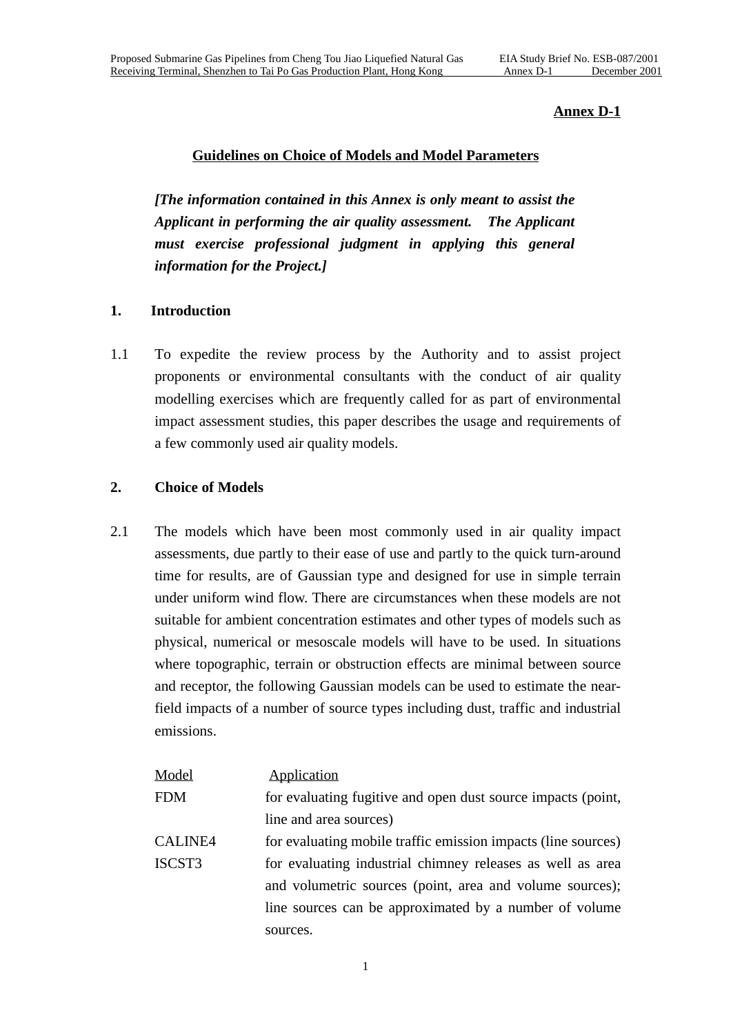## **Annex D-1**

#### **Guidelines on Choice of Models and Model Parameters**

*[The information contained in this Annex is only meant to assist the Applicant in performing the air quality assessment. The Applicant must exercise professional judgment in applying this general information for the Project.]*

## **1. Introduction**

1.1 To expedite the review process by the Authority and to assist project proponents or environmental consultants with the conduct of air quality modelling exercises which are frequently called for as part of environmental impact assessment studies, this paper describes the usage and requirements of a few commonly used air quality models.

#### **2. Choice of Models**

2.1 The models which have been most commonly used in air quality impact assessments, due partly to their ease of use and partly to the quick turn-around time for results, are of Gaussian type and designed for use in simple terrain under uniform wind flow. There are circumstances when these models are not suitable for ambient concentration estimates and other types of models such as physical, numerical or mesoscale models will have to be used. In situations where topographic, terrain or obstruction effects are minimal between source and receptor, the following Gaussian models can be used to estimate the nearfield impacts of a number of source types including dust, traffic and industrial emissions.

| <u>Model</u>  | Application                                                   |
|---------------|---------------------------------------------------------------|
| FDM           | for evaluating fugitive and open dust source impacts (point,  |
|               | line and area sources)                                        |
| CALINE4       | for evaluating mobile traffic emission impacts (line sources) |
| <b>ISCST3</b> | for evaluating industrial chimney releases as well as area    |
|               | and volumetric sources (point, area and volume sources);      |
|               | line sources can be approximated by a number of volume        |
|               | sources.                                                      |
|               |                                                               |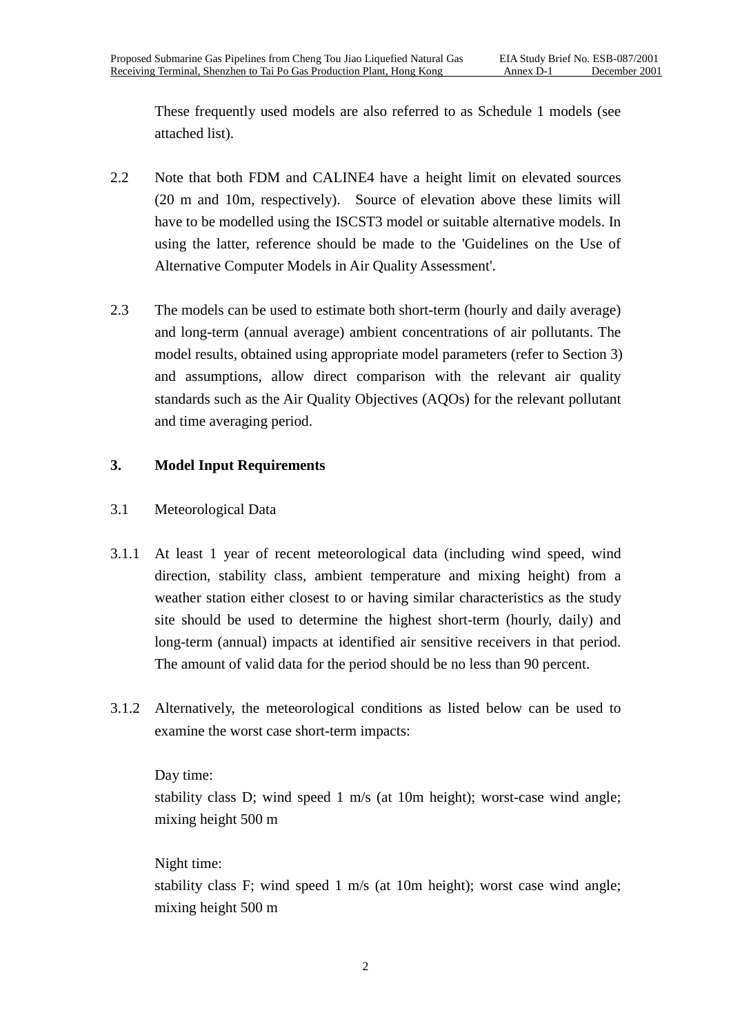These frequently used models are also referred to as Schedule 1 models (see attached list).

- 2.2 Note that both FDM and CALINE4 have a height limit on elevated sources (20 m and 10m, respectively). Source of elevation above these limits will have to be modelled using the ISCST3 model or suitable alternative models. In using the latter, reference should be made to the 'Guidelines on the Use of Alternative Computer Models in Air Quality Assessment'.
- 2.3 The models can be used to estimate both short-term (hourly and daily average) and long-term (annual average) ambient concentrations of air pollutants. The model results, obtained using appropriate model parameters (refer to Section 3) and assumptions, allow direct comparison with the relevant air quality standards such as the Air Quality Objectives (AQOs) for the relevant pollutant and time averaging period.

## **3. Model Input Requirements**

## 3.1 Meteorological Data

- 3.1.1 At least 1 year of recent meteorological data (including wind speed, wind direction, stability class, ambient temperature and mixing height) from a weather station either closest to or having similar characteristics as the study site should be used to determine the highest short-term (hourly, daily) and long-term (annual) impacts at identified air sensitive receivers in that period. The amount of valid data for the period should be no less than 90 percent.
- 3.1.2 Alternatively, the meteorological conditions as listed below can be used to examine the worst case short-term impacts:

## Day time:

stability class D; wind speed 1 m/s (at 10m height); worst-case wind angle; mixing height 500 m

## Night time:

stability class F; wind speed 1 m/s (at 10m height); worst case wind angle; mixing height 500 m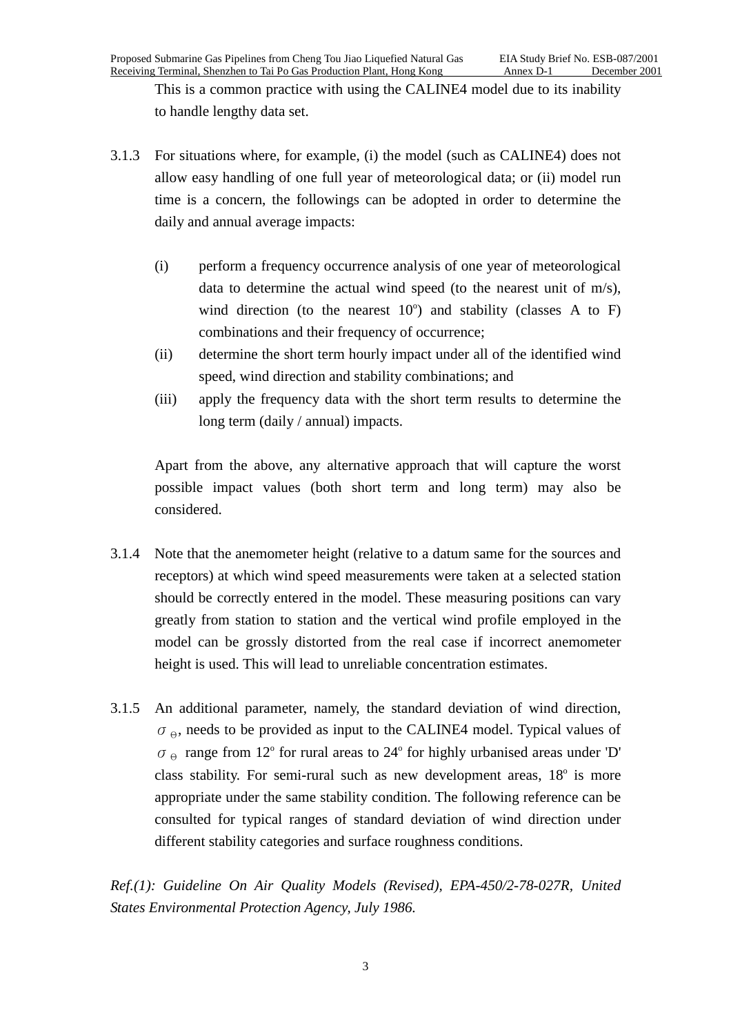This is a common practice with using the CALINE4 model due to its inability to handle lengthy data set.

- 3.1.3 For situations where, for example, (i) the model (such as CALINE4) does not allow easy handling of one full year of meteorological data; or (ii) model run time is a concern, the followings can be adopted in order to determine the daily and annual average impacts:
	- (i) perform a frequency occurrence analysis of one year of meteorological data to determine the actual wind speed (to the nearest unit of m/s), wind direction (to the nearest  $10^{\circ}$ ) and stability (classes A to F) combinations and their frequency of occurrence;
	- (ii) determine the short term hourly impact under all of the identified wind speed, wind direction and stability combinations; and
	- (iii) apply the frequency data with the short term results to determine the long term (daily / annual) impacts.

Apart from the above, any alternative approach that will capture the worst possible impact values (both short term and long term) may also be considered.

- 3.1.4 Note that the anemometer height (relative to a datum same for the sources and receptors) at which wind speed measurements were taken at a selected station should be correctly entered in the model. These measuring positions can vary greatly from station to station and the vertical wind profile employed in the model can be grossly distorted from the real case if incorrect anemometer height is used. This will lead to unreliable concentration estimates.
- 3.1.5 An additional parameter, namely, the standard deviation of wind direction,  $\sigma_{\Theta}$ , needs to be provided as input to the CALINE4 model. Typical values of  $\sigma_{\Theta}$  range from 12° for rural areas to 24° for highly urbanised areas under 'D' class stability. For semi-rural such as new development areas, 18° is more appropriate under the same stability condition. The following reference can be consulted for typical ranges of standard deviation of wind direction under different stability categories and surface roughness conditions.

*Ref.(1): Guideline On Air Quality Models (Revised), EPA-450/2-78-027R, United States Environmental Protection Agency, July 1986.*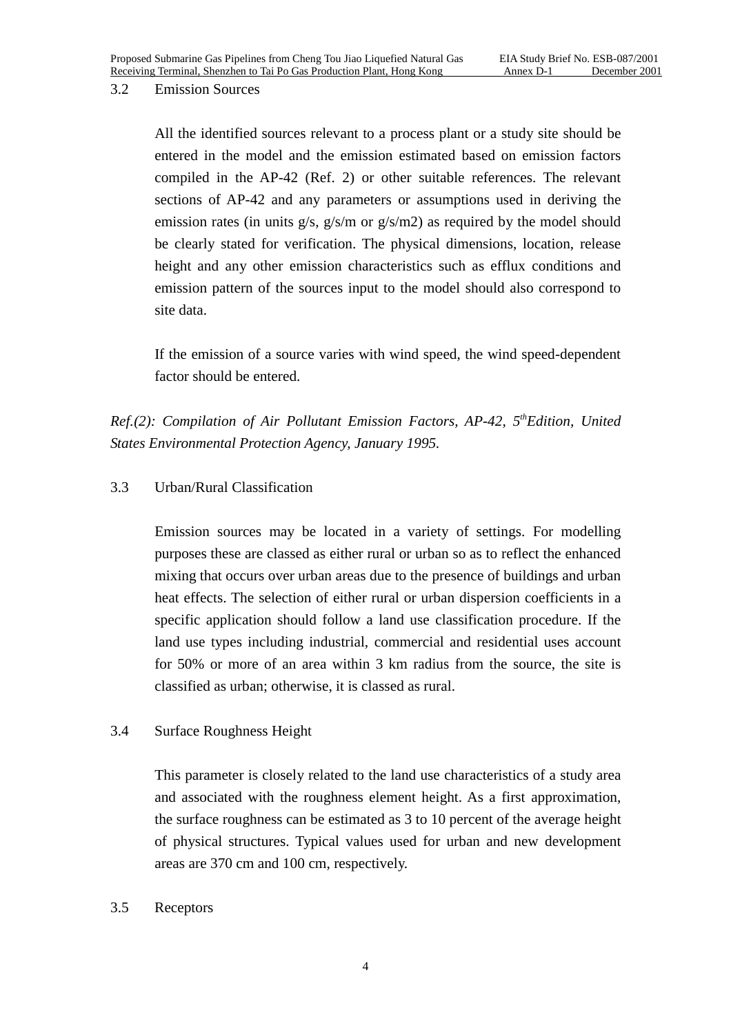#### 3.2 Emission Sources

All the identified sources relevant to a process plant or a study site should be entered in the model and the emission estimated based on emission factors compiled in the AP-42 (Ref. 2) or other suitable references. The relevant sections of AP-42 and any parameters or assumptions used in deriving the emission rates (in units g/s, g/s/m or g/s/m2) as required by the model should be clearly stated for verification. The physical dimensions, location, release height and any other emission characteristics such as efflux conditions and emission pattern of the sources input to the model should also correspond to site data.

If the emission of a source varies with wind speed, the wind speed-dependent factor should be entered.

*Ref.(2): Compilation of Air Pollutant Emission Factors, AP-42, 5<sup>th</sup>Edition, United States Environmental Protection Agency, January 1995.*

## 3.3 Urban/Rural Classification

Emission sources may be located in a variety of settings. For modelling purposes these are classed as either rural or urban so as to reflect the enhanced mixing that occurs over urban areas due to the presence of buildings and urban heat effects. The selection of either rural or urban dispersion coefficients in a specific application should follow a land use classification procedure. If the land use types including industrial, commercial and residential uses account for 50% or more of an area within 3 km radius from the source, the site is classified as urban; otherwise, it is classed as rural.

## 3.4 Surface Roughness Height

This parameter is closely related to the land use characteristics of a study area and associated with the roughness element height. As a first approximation, the surface roughness can be estimated as 3 to 10 percent of the average height of physical structures. Typical values used for urban and new development areas are 370 cm and 100 cm, respectively.

#### 3.5 Receptors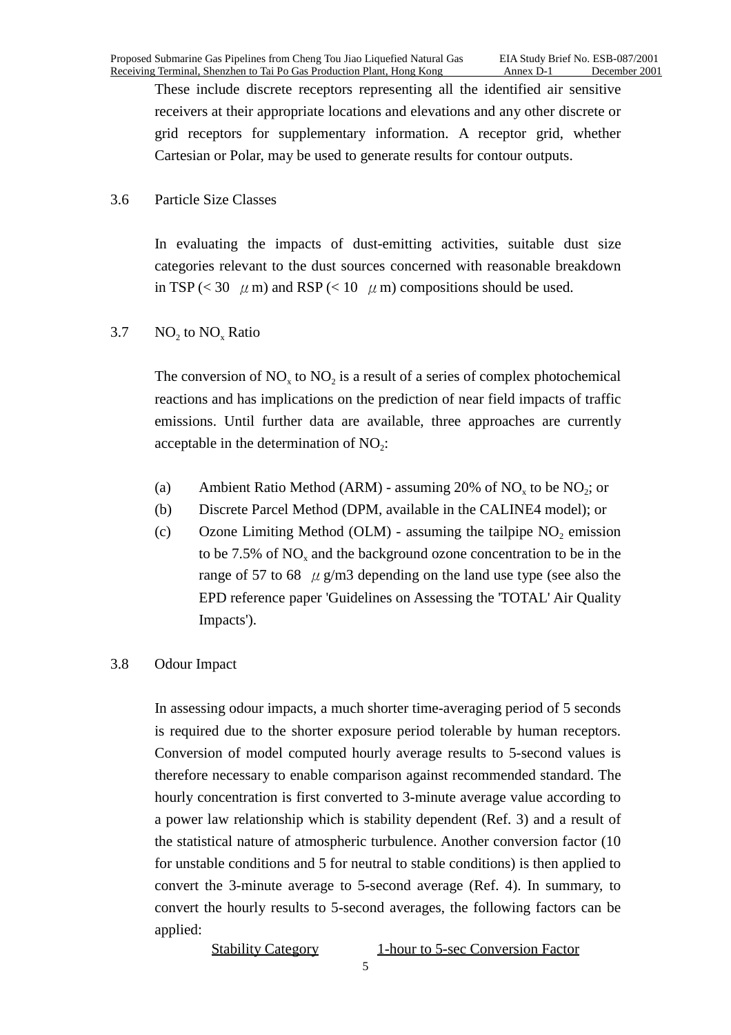These include discrete receptors representing all the identified air sensitive receivers at their appropriate locations and elevations and any other discrete or grid receptors for supplementary information. A receptor grid, whether Cartesian or Polar, may be used to generate results for contour outputs.

#### 3.6 Particle Size Classes

In evaluating the impacts of dust-emitting activities, suitable dust size categories relevant to the dust sources concerned with reasonable breakdown in TSP (< 30  $\mu$  m) and RSP (< 10  $\mu$  m) compositions should be used.

## $3.7$  NO<sub>2</sub> to NO<sub>x</sub> Ratio

The conversion of  $NO<sub>x</sub>$  to  $NO<sub>2</sub>$  is a result of a series of complex photochemical reactions and has implications on the prediction of near field impacts of traffic emissions. Until further data are available, three approaches are currently acceptable in the determination of  $NO<sub>2</sub>$ :

- (a) Ambient Ratio Method (ARM) assuming 20% of  $NO<sub>x</sub>$  to be  $NO<sub>2</sub>$ ; or
- (b) Discrete Parcel Method (DPM, available in the CALINE4 model); or
- (c) Ozone Limiting Method (OLM) assuming the tailpipe  $NO<sub>2</sub>$  emission to be 7.5% of NO<sub>y</sub> and the background ozone concentration to be in the range of 57 to 68  $\mu$  g/m3 depending on the land use type (see also the EPD reference paper 'Guidelines on Assessing the 'TOTAL' Air Quality Impacts').

#### 3.8 Odour Impact

In assessing odour impacts, a much shorter time-averaging period of 5 seconds is required due to the shorter exposure period tolerable by human receptors. Conversion of model computed hourly average results to 5-second values is therefore necessary to enable comparison against recommended standard. The hourly concentration is first converted to 3-minute average value according to a power law relationship which is stability dependent (Ref. 3) and a result of the statistical nature of atmospheric turbulence. Another conversion factor (10 for unstable conditions and 5 for neutral to stable conditions) is then applied to convert the 3-minute average to 5-second average (Ref. 4). In summary, to convert the hourly results to 5-second averages, the following factors can be applied:

Stability Category 1-hour to 5-sec Conversion Factor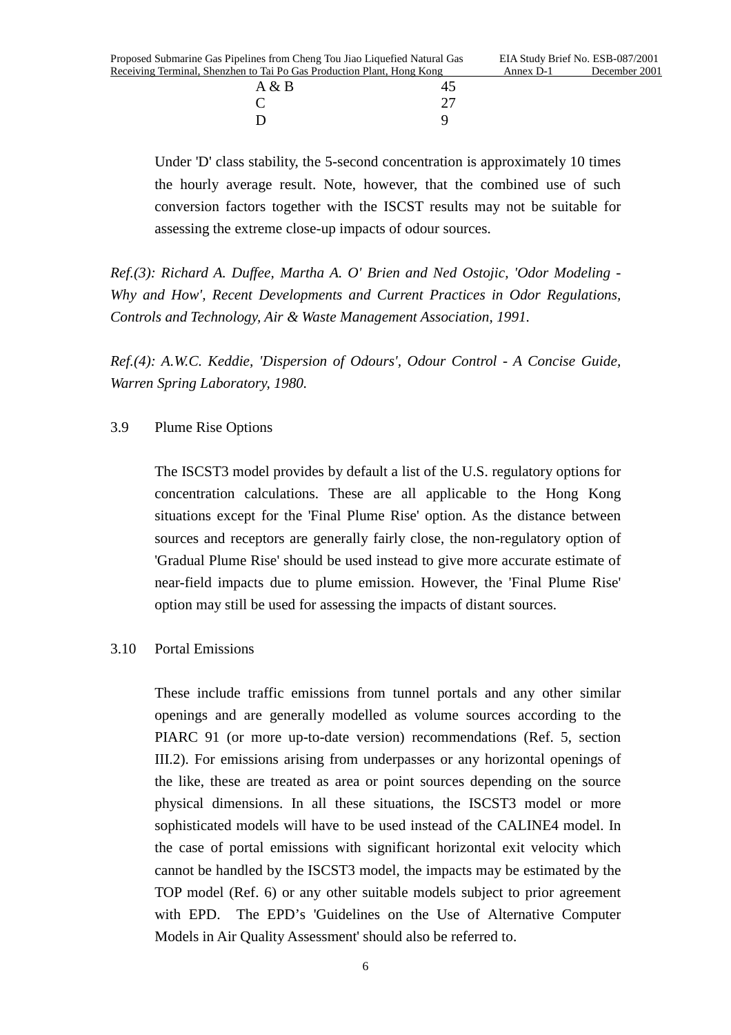| $1 \omega$ further one of the control of the state $1 \omega$ is $1 \omega$ |    |
|-----------------------------------------------------------------------------|----|
| A & B                                                                       |    |
| €                                                                           | 27 |
| Ð                                                                           |    |

Under 'D' class stability, the 5-second concentration is approximately 10 times the hourly average result. Note, however, that the combined use of such conversion factors together with the ISCST results may not be suitable for assessing the extreme close-up impacts of odour sources.

*Ref.(3): Richard A. Duffee, Martha A. O' Brien and Ned Ostojic, 'Odor Modeling - Why and How', Recent Developments and Current Practices in Odor Regulations, Controls and Technology, Air & Waste Management Association, 1991.*

*Ref.(4): A.W.C. Keddie, 'Dispersion of Odours', Odour Control - A Concise Guide, Warren Spring Laboratory, 1980.*

#### 3.9 Plume Rise Options

The ISCST3 model provides by default a list of the U.S. regulatory options for concentration calculations. These are all applicable to the Hong Kong situations except for the 'Final Plume Rise' option. As the distance between sources and receptors are generally fairly close, the non-regulatory option of 'Gradual Plume Rise' should be used instead to give more accurate estimate of near-field impacts due to plume emission. However, the 'Final Plume Rise' option may still be used for assessing the impacts of distant sources.

#### 3.10 Portal Emissions

These include traffic emissions from tunnel portals and any other similar openings and are generally modelled as volume sources according to the PIARC 91 (or more up-to-date version) recommendations (Ref. 5, section III.2). For emissions arising from underpasses or any horizontal openings of the like, these are treated as area or point sources depending on the source physical dimensions. In all these situations, the ISCST3 model or more sophisticated models will have to be used instead of the CALINE4 model. In the case of portal emissions with significant horizontal exit velocity which cannot be handled by the ISCST3 model, the impacts may be estimated by the TOP model (Ref. 6) or any other suitable models subject to prior agreement with EPD. The EPD's 'Guidelines on the Use of Alternative Computer Models in Air Quality Assessment' should also be referred to.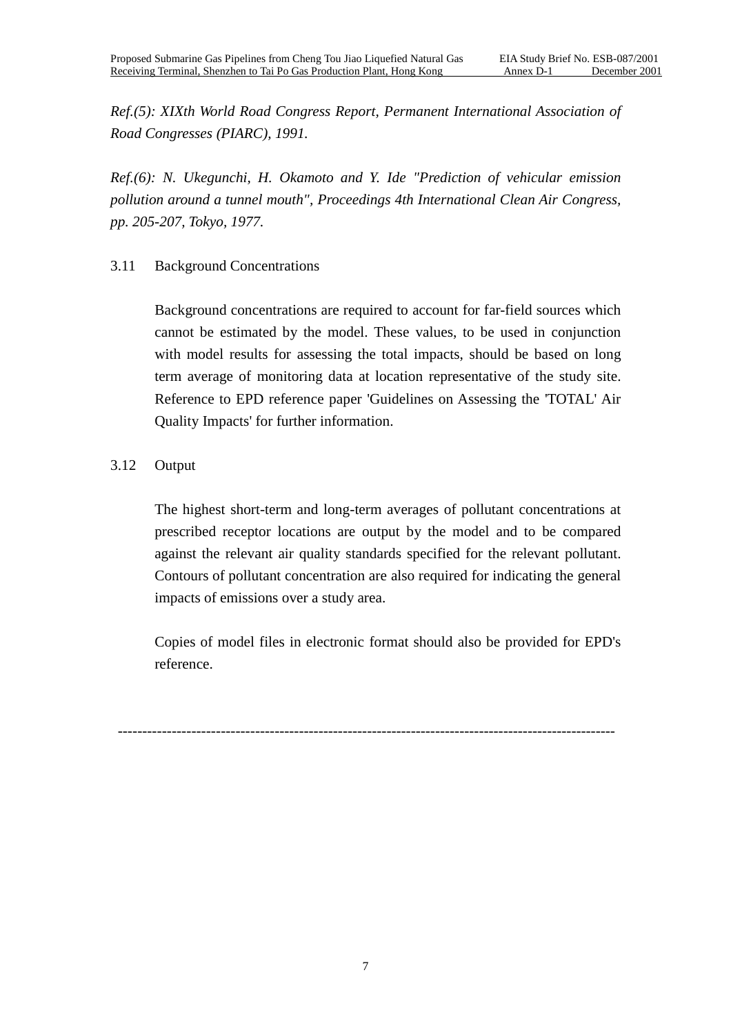*Ref.(5): XIXth World Road Congress Report, Permanent International Association of Road Congresses (PIARC), 1991.*

*Ref.(6): N. Ukegunchi, H. Okamoto and Y. Ide "Prediction of vehicular emission pollution around a tunnel mouth", Proceedings 4th International Clean Air Congress, pp. 205-207, Tokyo, 1977.*

## 3.11 Background Concentrations

Background concentrations are required to account for far-field sources which cannot be estimated by the model. These values, to be used in conjunction with model results for assessing the total impacts, should be based on long term average of monitoring data at location representative of the study site. Reference to EPD reference paper 'Guidelines on Assessing the 'TOTAL' Air Quality Impacts' for further information.

## 3.12 Output

The highest short-term and long-term averages of pollutant concentrations at prescribed receptor locations are output by the model and to be compared against the relevant air quality standards specified for the relevant pollutant. Contours of pollutant concentration are also required for indicating the general impacts of emissions over a study area.

Copies of model files in electronic format should also be provided for EPD's reference.

------------------------------------------------------------------------------------------------------